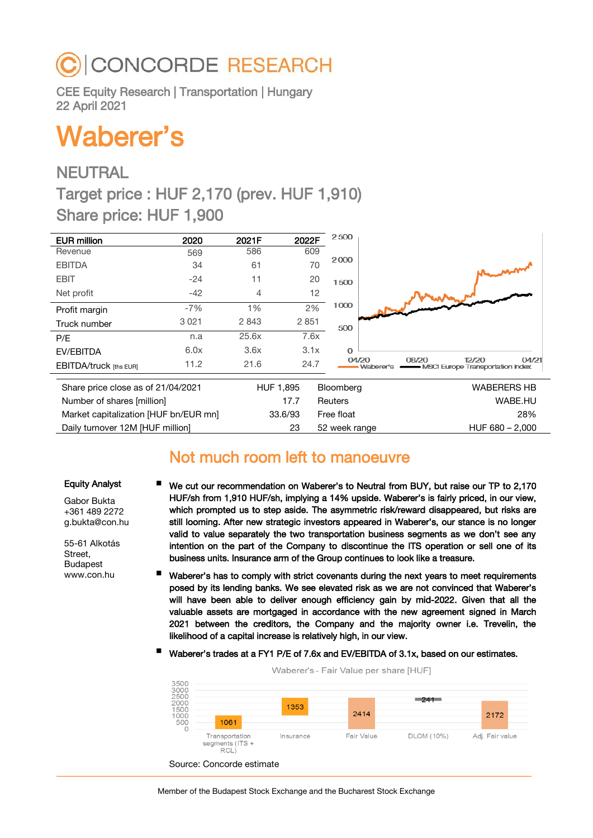# **CONCORDE RESEARCH**

CEE Equity Research | Transportation | Hungary 22 April 2021

# Waberer's

# NEUTRAL

Target price : HUF 2,170 (prev. HUF 1,910) Share price: HUF 1,900

| <b>EUR million</b>                    | 2020    | 2021F | 2022F     | 2500           |                                                                          |
|---------------------------------------|---------|-------|-----------|----------------|--------------------------------------------------------------------------|
| Revenue                               | 569     | 586   | 609       |                |                                                                          |
| <b>EBITDA</b>                         | 34      | 61    | 70        | 2000           |                                                                          |
| <b>EBIT</b>                           | $-24$   | 11    | 20        | 1500           |                                                                          |
| Net profit                            | $-42$   | 4     | 12        |                |                                                                          |
| Profit margin                         | $-7%$   | 1%    | 2%        | 1000           |                                                                          |
| Truck number                          | 3 0 2 1 | 2843  | 2 8 5 1   | 500            |                                                                          |
| P/E                                   | n.a     | 25.6x | 7.6x      |                |                                                                          |
| EV/EBITDA                             | 6.0x    | 3.6x  | 3.1x      | $\Omega$       |                                                                          |
| <b>EBITDA/truck</b> [ths EUR]         | 11.2    | 21.6  | 24.7      | 04/20          | 04/21<br>08/20<br>12/20<br>MSCI Europe Transportation Index<br>Waberer's |
| Share price close as of 21/04/2021    |         |       | HUF 1,895 | Bloomberg      | <b>WABERERS HB</b>                                                       |
| Number of shares [million]            |         |       | 17.7      | <b>Reuters</b> | WABE.HU                                                                  |
| Market capitalization [HUF bn/EUR mn] |         |       | 33.6/93   | Free float     | 28%                                                                      |
| Daily turnover 12M [HUF million]      |         |       | 23        |                | $HUF 680 - 2,000$<br>52 week range                                       |

# Not much room left to manoeuvre

# Equity Analyst

Gabor Bukta +361 489 2272 g.bukta@con.hu

55-61 Alkotás Street, Budapest www.con.hu

- We cut our recommendation on Waberer's to Neutral from BUY, but raise our TP to 2,170 HUF/sh from 1,910 HUF/sh, implying a 14% upside. Waberer's is fairly priced, in our view, which prompted us to step aside. The asymmetric risk/reward disappeared, but risks are still looming. After new strategic investors appeared in Waberer's, our stance is no longer valid to value separately the two transportation business segments as we don't see any intention on the part of the Company to discontinue the ITS operation or sell one of its business units. Insurance arm of the Group continues to look like a treasure.
- Waberer's has to comply with strict covenants during the next years to meet requirements posed by its lending banks. We see elevated risk as we are not convinced that Waberer's will have been able to deliver enough efficiency gain by mid-2022. Given that all the valuable assets are mortgaged in accordance with the new agreement signed in March 2021 between the creditors, the Company and the majority owner i.e. Trevelin, the likelihood of a capital increase is relatively high, in our view.
- Waberer's trades at a FY1 P/E of 7.6x and EV/EBITDA of 3.1x, based on our estimates.



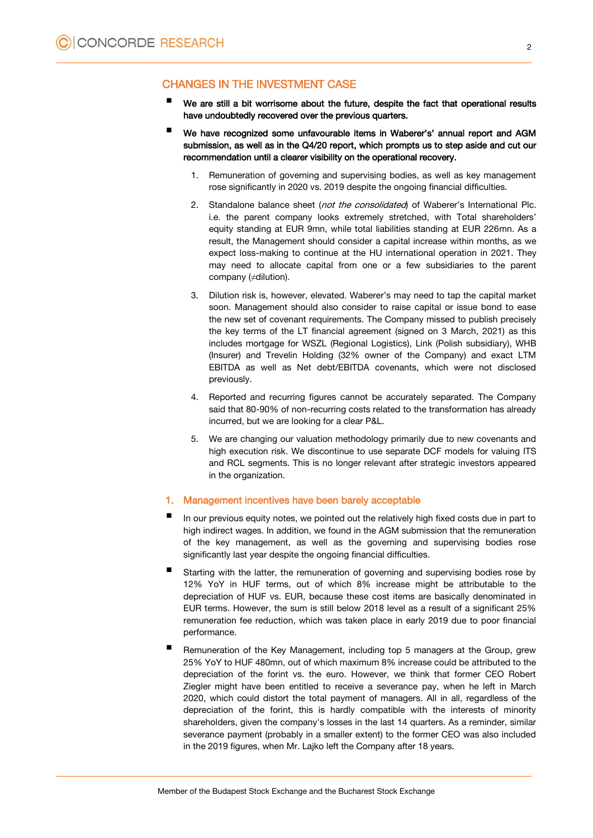# CHANGES IN THE INVESTMENT CASE

- We are still a bit worrisome about the future, despite the fact that operational results have undoubtedly recovered over the previous quarters.
- We have recognized some unfavourable items in Waberer's' annual report and AGM submission, as well as in the Q4/20 report, which prompts us to step aside and cut our recommendation until a clearer visibility on the operational recovery.
	- 1. Remuneration of governing and supervising bodies, as well as key management rose significantly in 2020 vs. 2019 despite the ongoing financial difficulties.
	- 2. Standalone balance sheet (not the consolidated) of Waberer's International Plc. i.e. the parent company looks extremely stretched, with Total shareholders' equity standing at EUR 9mn, while total liabilities standing at EUR 226mn. As a result, the Management should consider a capital increase within months, as we expect loss-making to continue at the HU international operation in 2021. They may need to allocate capital from one or a few subsidiaries to the parent company (≠dilution).
	- 3. Dilution risk is, however, elevated. Waberer's may need to tap the capital market soon. Management should also consider to raise capital or issue bond to ease the new set of covenant requirements. The Company missed to publish precisely the key terms of the LT financial agreement (signed on 3 March, 2021) as this includes mortgage for WSZL (Regional Logistics), Link (Polish subsidiary), WHB (Insurer) and Trevelin Holding (32% owner of the Company) and exact LTM EBITDA as well as Net debt/EBITDA covenants, which were not disclosed previously.
	- 4. Reported and recurring figures cannot be accurately separated. The Company said that 80-90% of non-recurring costs related to the transformation has already incurred, but we are looking for a clear P&L.
	- 5. We are changing our valuation methodology primarily due to new covenants and high execution risk. We discontinue to use separate DCF models for valuing ITS and RCL segments. This is no longer relevant after strategic investors appeared in the organization.

### 1. Management incentives have been barely acceptable

- In our previous equity notes, we pointed out the relatively high fixed costs due in part to high indirect wages. In addition, we found in the AGM submission that the remuneration of the key management, as well as the governing and supervising bodies rose significantly last year despite the ongoing financial difficulties.
- Starting with the latter, the remuneration of governing and supervising bodies rose by 12% YoY in HUF terms, out of which 8% increase might be attributable to the depreciation of HUF vs. EUR, because these cost items are basically denominated in EUR terms. However, the sum is still below 2018 level as a result of a significant 25% remuneration fee reduction, which was taken place in early 2019 due to poor financial performance.
- Remuneration of the Key Management, including top 5 managers at the Group, grew 25% YoY to HUF 480mn, out of which maximum 8% increase could be attributed to the depreciation of the forint vs. the euro. However, we think that former CEO Robert Ziegler might have been entitled to receive a severance pay, when he left in March 2020, which could distort the total payment of managers. All in all, regardless of the depreciation of the forint, this is hardly compatible with the interests of minority shareholders, given the company's losses in the last 14 quarters. As a reminder, similar severance payment (probably in a smaller extent) to the former CEO was also included in the 2019 figures, when Mr. Lajko left the Company after 18 years.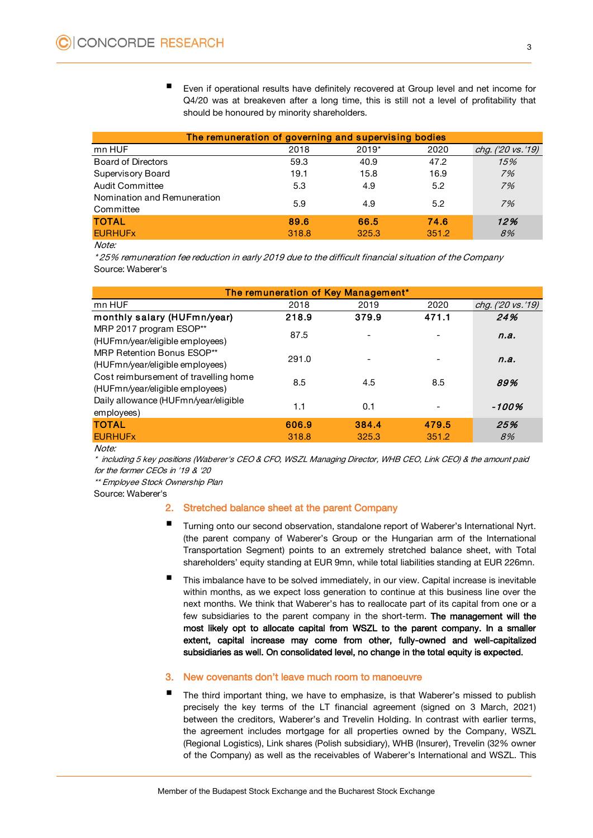Even if operational results have definitely recovered at Group level and net income for should be honoured by minority shareholders.

|                                          | Q4/20 was at breakeven after a long time, this is still not a level of profitability that<br>should be honoured by minority shareholders. |         |       |                   |
|------------------------------------------|-------------------------------------------------------------------------------------------------------------------------------------------|---------|-------|-------------------|
|                                          | The remuneration of governing and supervising bodies                                                                                      |         |       |                   |
| mn HUF                                   | 2018                                                                                                                                      | $2019*$ | 2020  | chg. ('20 vs.'19) |
| <b>Board of Directors</b>                | 59.3                                                                                                                                      | 40.9    | 47.2  | 15%               |
| Supervisory Board                        | 19.1                                                                                                                                      | 15.8    | 16.9  | 7%                |
| Audit Committee                          | 5.3                                                                                                                                       | 4.9     | 5.2   | 7%                |
| Nomination and Remuneration<br>Committee | 5.9                                                                                                                                       | 4.9     | 5.2   | 7%                |
| <b>TOTAL</b>                             | 89.6                                                                                                                                      | 66.5    | 74.6  | 12%               |
| <b>EURHUFx</b>                           | 318.8                                                                                                                                     | 325.3   | 351.2 | 8%                |
| Note:                                    |                                                                                                                                           |         |       |                   |

Note:

| *25% remuneration fee reduction in early 2019 due to the difficult financial situation of the Company |       |                                     |       |                   |  |
|-------------------------------------------------------------------------------------------------------|-------|-------------------------------------|-------|-------------------|--|
| Source: Waberer's                                                                                     |       |                                     |       |                   |  |
|                                                                                                       |       |                                     |       |                   |  |
|                                                                                                       |       | The remuneration of Key Management* |       |                   |  |
| mn HUF                                                                                                | 2018  | 2019                                | 2020  | chg. ('20 vs.'19) |  |
| monthly salary (HUFmn/year)                                                                           | 218.9 | 379.9                               | 471.1 | 24%               |  |
| MRP 2017 program ESOP**                                                                               | 87.5  |                                     |       |                   |  |
| (HUFmn/year/eligible employees)                                                                       |       |                                     |       | n.a.              |  |
| MRP Retention Bonus ESOP**                                                                            | 291.0 |                                     |       |                   |  |
| (HUFmn/year/eligible employees)                                                                       |       |                                     |       | n.a.              |  |
| Cost reimbursement of travelling home                                                                 | 8.5   |                                     |       |                   |  |
| (HUFmn/year/eligible employees)                                                                       |       | 4.5                                 | 8.5   | 89%               |  |
| Daily allowance (HUFmn/year/eligible                                                                  |       |                                     |       |                   |  |
| employees)                                                                                            | 1.1   | 0.1                                 |       | -100%             |  |
| <b>TOTAL</b>                                                                                          | 606.9 | 384.4                               | 479.5 | 25%               |  |
| <b>EURHUFx</b>                                                                                        | 318.8 | 325.3                               | 351.2 | 8%                |  |
| Note:                                                                                                 |       |                                     |       |                   |  |

Note<sup>-</sup>

\* including 5 key positions (Waberer's CEO & CFO, WSZL Managing Director, WHB CEO, Link CEO) & the amount paid for the former CEOs in '19 & '20

\*\* Employee Stock Ownership Plan

Source: Waberer's

#### 2. Stretched balance sheet at the parent Company

- Turning onto our second observation, standalone report of Waberer's International Nyrt. (the parent company of Waberer's Group or the Hungarian arm of the International Transportation Segment) points to an extremely stretched balance sheet, with Total shareholders' equity standing at EUR 9mn, while total liabilities standing at EUR 226mn.
- This imbalance have to be solved immediately, in our view. Capital increase is inevitable within months, as we expect loss generation to continue at this business line over the next months. We think that Waberer's has to reallocate part of its capital from one or a few subsidiaries to the parent company in the short-term. The management will the most likely opt to allocate capital from WSZL to the parent company. In a smaller extent, capital increase may come from other, fully-owned and well-capitalized subsidiaries as well. On consolidated level, no change in the total equity is expected.

# 3. New covenants don't leave much room to manoeuvre

■ The third important thing, we have to emphasize, is that Waberer's missed to publish precisely the key terms of the LT financial agreement (signed on 3 March, 2021) between the creditors, Waberer's and Trevelin Holding. In contrast with earlier terms, the agreement includes mortgage for all properties owned by the Company, WSZL (Regional Logistics), Link shares (Polish subsidiary), WHB (Insurer), Trevelin (32% owner of the Company) as well as the receivables of Waberer's International and WSZL. This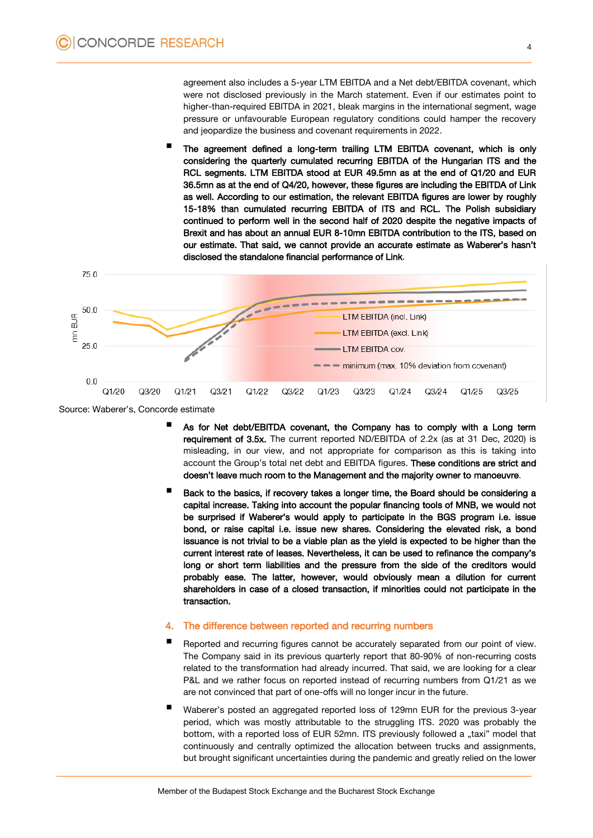agreement also includes a 5-year LTM EBITDA and a Net debt/EBITDA covenant, which were not disclosed previously in the March statement. Even if our estimates point to higher-than-required EBITDA in 2021, bleak margins in the international segment, wage pressure or unfavourable European regulatory conditions could hamper the recovery and jeopardize the business and covenant requirements in 2022.

 The agreement defined a long-term trailing LTM EBITDA covenant, which is only considering the quarterly cumulated recurring EBITDA of the Hungarian ITS and the RCL segments. LTM EBITDA stood at EUR 49.5mn as at the end of Q1/20 and EUR 36.5mn as at the end of Q4/20, however, these figures are including the EBITDA of Link as well. According to our estimation, the relevant EBITDA figures are lower by roughly 15-18% than cumulated recurring EBITDA of ITS and RCL. The Polish subsidiary continued to perform well in the second half of 2020 despite the negative impacts of Brexit and has about an annual EUR 8-10mn EBITDA contribution to the ITS, based on our estimate. That said, we cannot provide an accurate estimate as Waberer's hasn't disclosed the standalone financial performance of Link.



Source: Waberer's, Concorde estimate

- As for Net debt/EBITDA covenant, the Company has to comply with a Long term requirement of 3.5x. The current reported ND/EBITDA of 2.2x (as at 31 Dec, 2020) is misleading, in our view, and not appropriate for comparison as this is taking into account the Group's total net debt and EBITDA figures. These conditions are strict and doesn't leave much room to the Management and the majority owner to manoeuvre.
- Back to the basics, if recovery takes a longer time, the Board should be considering a capital increase. Taking into account the popular financing tools of MNB, we would not be surprised if Waberer's would apply to participate in the BGS program i.e. issue bond, or raise capital i.e. issue new shares. Considering the elevated risk, a bond issuance is not trivial to be a viable plan as the yield is expected to be higher than the current interest rate of leases. Nevertheless, it can be used to refinance the company's long or short term liabilities and the pressure from the side of the creditors would probably ease. The latter, however, would obviously mean a dilution for current shareholders in case of a closed transaction, if minorities could not participate in the transaction.

## 4. The difference between reported and recurring numbers

- Reported and recurring figures cannot be accurately separated from our point of view. The Company said in its previous quarterly report that 80-90% of non-recurring costs related to the transformation had already incurred. That said, we are looking for a clear P&L and we rather focus on reported instead of recurring numbers from Q1/21 as we are not convinced that part of one-offs will no longer incur in the future.
- Waberer's posted an aggregated reported loss of 129mn EUR for the previous 3-year period, which was mostly attributable to the struggling ITS. 2020 was probably the bottom, with a reported loss of EUR 52mn. ITS previously followed a "taxi" model that continuously and centrally optimized the allocation between trucks and assignments, but brought significant uncertainties during the pandemic and greatly relied on the lower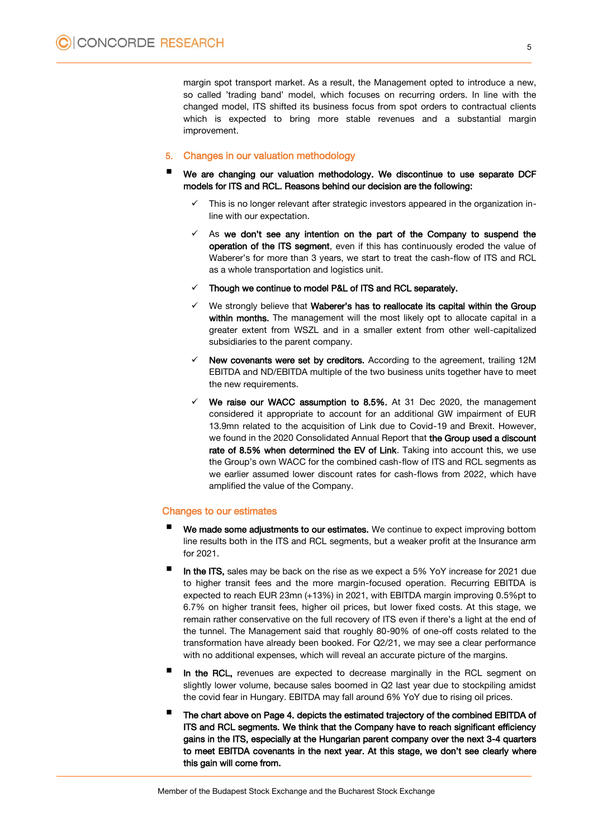margin spot transport market. As a result, the Management opted to introduce a new, so called 'trading band' model, which focuses on recurring orders. In line with the changed model, ITS shifted its business focus from spot orders to contractual clients which is expected to bring more stable revenues and a substantial margin improvement.

#### 5. Changes in our valuation methodology

- We are changing our valuation methodology. We discontinue to use separate DCF models for ITS and RCL. Reasons behind our decision are the following:
	- This is no longer relevant after strategic investors appeared in the organization inline with our expectation.
	- As we don't see any intention on the part of the Company to suspend the operation of the ITS segment, even if this has continuously eroded the value of Waberer's for more than 3 years, we start to treat the cash-flow of ITS and RCL as a whole transportation and logistics unit.
	- Though we continue to model P&L of ITS and RCL separately.
	- We strongly believe that Waberer's has to reallocate its capital within the Group within months. The management will the most likely opt to allocate capital in a greater extent from WSZL and in a smaller extent from other well-capitalized subsidiaries to the parent company.
	- New covenants were set by creditors. According to the agreement, trailing 12M EBITDA and ND/EBITDA multiple of the two business units together have to meet the new requirements.
	- We raise our WACC assumption to 8.5%. At 31 Dec 2020, the management considered it appropriate to account for an additional GW impairment of EUR 13.9mn related to the acquisition of Link due to Covid-19 and Brexit. However, we found in the 2020 Consolidated Annual Report that the Group used a discount rate of 8.5% when determined the EV of Link. Taking into account this, we use the Group's own WACC for the combined cash-flow of ITS and RCL segments as we earlier assumed lower discount rates for cash-flows from 2022, which have amplified the value of the Company.

### Changes to our estimates

- We made some adjustments to our estimates. We continue to expect improving bottom line results both in the ITS and RCL segments, but a weaker profit at the Insurance arm for 2021.
- In the ITS, sales may be back on the rise as we expect a 5% YoY increase for 2021 due to higher transit fees and the more margin-focused operation. Recurring EBITDA is expected to reach EUR 23mn (+13%) in 2021, with EBITDA margin improving 0.5%pt to 6.7% on higher transit fees, higher oil prices, but lower fixed costs. At this stage, we remain rather conservative on the full recovery of ITS even if there's a light at the end of the tunnel. The Management said that roughly 80-90% of one-off costs related to the transformation have already been booked. For Q2/21, we may see a clear performance with no additional expenses, which will reveal an accurate picture of the margins.
- In the RCL, revenues are expected to decrease marginally in the RCL segment on slightly lower volume, because sales boomed in Q2 last year due to stockpiling amidst the covid fear in Hungary. EBITDA may fall around 6% YoY due to rising oil prices.
- The chart above on Page 4. depicts the estimated trajectory of the combined EBITDA of ITS and RCL segments. We think that the Company have to reach significant efficiency gains in the ITS, especially at the Hungarian parent company over the next 3-4 quarters to meet EBITDA covenants in the next year. At this stage, we don't see clearly where this gain will come from.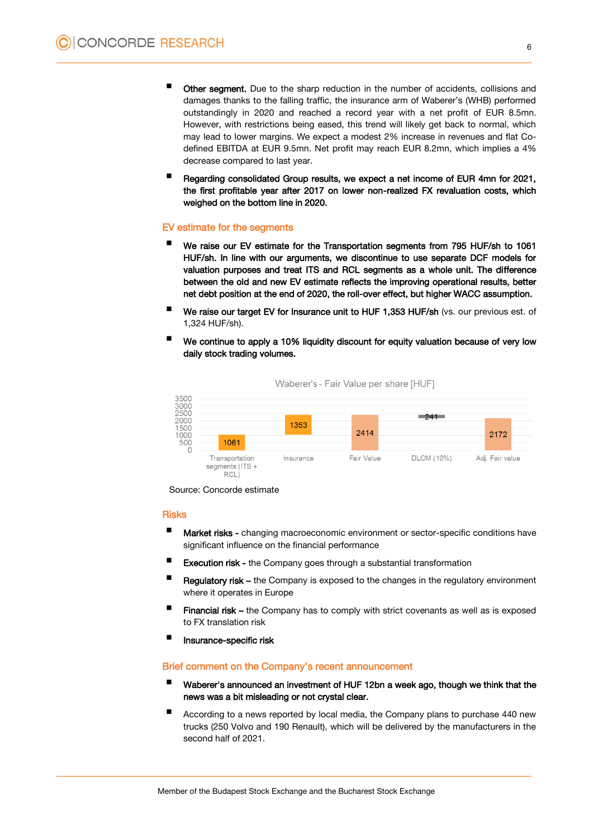- Other segment. Due to the sharp reduction in the number of accidents, collisions and damages thanks to the falling traffic, the insurance arm of Waberer's (WHB) performed outstandingly in 2020 and reached a record year with a net profit of EUR 8.5mn. However, with restrictions being eased, this trend will likely get back to normal, which may lead to lower margins. We expect a modest 2% increase in revenues and flat Codefined EBITDA at EUR 9.5mn. Net profit may reach EUR 8.2mn, which implies a 4% decrease compared to last year.
- Regarding consolidated Group results, we expect a net income of EUR 4mn for 2021, the first profitable year after 2017 on lower non-realized FX revaluation costs, which weighed on the bottom line in 2020.

#### EV estimate for the segments

- We raise our EV estimate for the Transportation segments from 795 HUF/sh to 1061 HUF/sh. In line with our arguments, we discontinue to use separate DCF models for valuation purposes and treat ITS and RCL segments as a whole unit. The difference between the old and new EV estimate reflects the improving operational results, better net debt position at the end of 2020, the roll-over effect, but higher WACC assumption.
- We raise our target EV for Insurance unit to HUF 1,353 HUF/sh (vs. our previous est. of 1,324 HUF/sh).
- We continue to apply a 10% liquidity discount for equity valuation because of very low daily stock trading volumes.

Waberer's - Fair Value per share [HUF]

| 3500<br>3000<br>2500<br>2000 |                                          |           |            | 241        |                 |
|------------------------------|------------------------------------------|-----------|------------|------------|-----------------|
|                              |                                          | 1353      |            |            |                 |
| 1500<br>1000                 |                                          |           | 2414       |            | 2172            |
| 500                          | 1061                                     |           |            |            |                 |
| 0                            |                                          |           |            |            |                 |
|                              | Transportation<br>segments (ITS +<br>RCL | Insurance | Fair Value | DLOM (10%) | Adj. Fair value |

Source: Concorde estimate

#### Risks

- Market risks changing macroeconomic environment or sector-specific conditions have significant influence on the financial performance
- Execution risk the Company goes through a substantial transformation
- Regulatory risk the Company is exposed to the changes in the regulatory environment where it operates in Europe
- Financial risk the Company has to comply with strict covenants as well as is exposed to FX translation risk
- Insurance-specific risk

#### Brief comment on the Company's recent announcement

- Waberer's announced an investment of HUF 12bn a week ago, though we think that the news was a bit misleading or not crystal clear.
- According to a news reported by local media, the Company plans to purchase 440 new trucks (250 Volvo and 190 Renault), which will be delivered by the manufacturers in the second half of 2021.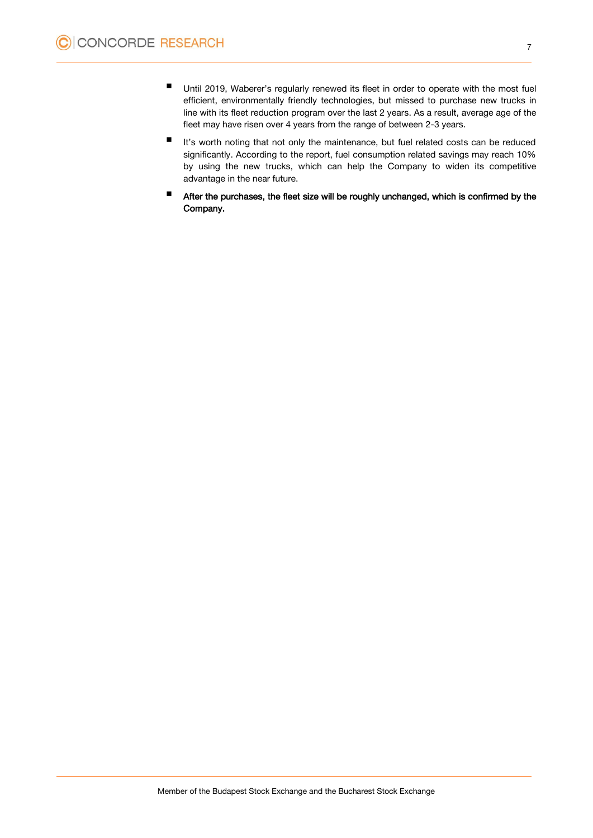- Until 2019, Waberer's regularly renewed its fleet in order to operate with the most fuel efficient, environmentally friendly technologies, but missed to purchase new trucks in line with its fleet reduction program over the last 2 years. As a result, average age of the fleet may have risen over 4 years from the range of between 2-3 years.
- It's worth noting that not only the maintenance, but fuel related costs can be reduced significantly. According to the report, fuel consumption related savings may reach 10% by using the new trucks, which can help the Company to widen its competitive advantage in the near future.
- **After the purchases, the fleet size will be roughly unchanged, which is confirmed by the** Company.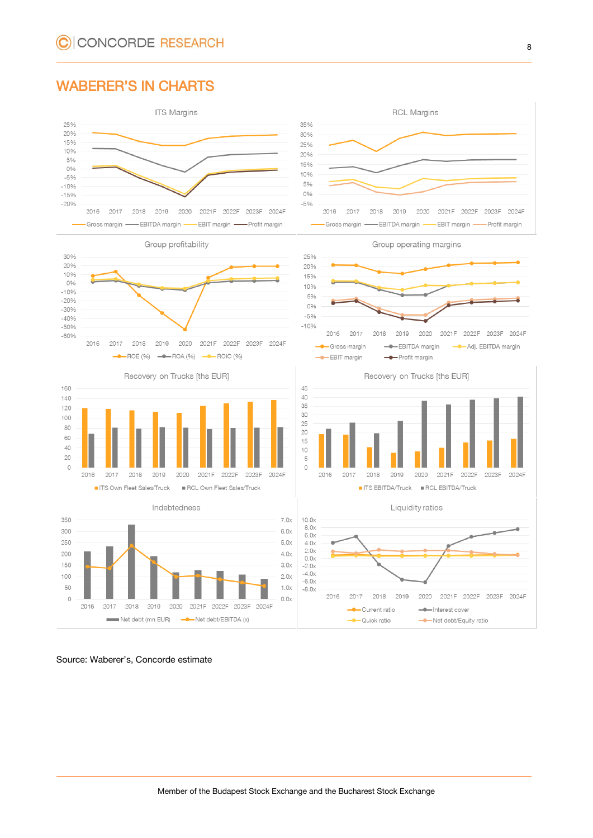# WABERER'S IN CHARTS











Source: Waberer's, Concorde estimate



Group operating margins



Recovery on Trucks [ths EUR]



Liquidity ratios

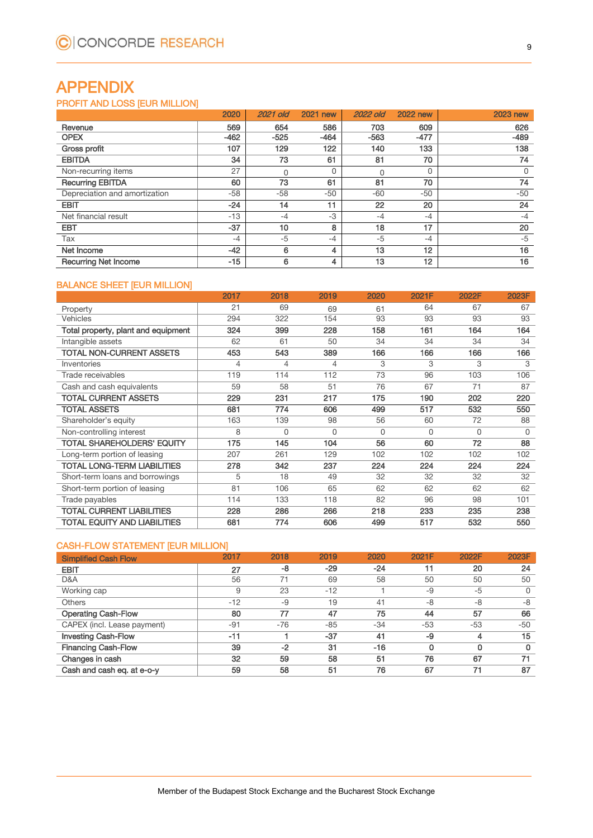# APPENDIX

# PROFIT AND LOSS [EUR MILLION]

|                               | 2020   | <b>2021 old</b> | <b>2021 new</b> | <b>2022 old</b> | <b>2022 new</b> | <b>2023 new</b> |
|-------------------------------|--------|-----------------|-----------------|-----------------|-----------------|-----------------|
| Revenue                       | 569    | 654             | 586             | 703             | 609             | 626             |
| <b>OPEX</b>                   | $-462$ | $-525$          | $-464$          | $-563$          | $-477$          | $-489$          |
| <b>Gross profit</b>           | 107    | 129             | 122             | 140             | 133             | 138             |
| <b>EBITDA</b>                 | 34     | 73              | 61              | 81              | 70              | 74              |
| Non-recurring items           | 27     | O               |                 |                 | 0               | 0               |
| <b>Recurring EBITDA</b>       | 60     | 73              | 61              | 81              | 70              | 74              |
| Depreciation and amortization | -58    | $-58$           | -50             | $-60$           | $-50$           | $-50$           |
| <b>EBIT</b>                   | $-24$  | 14              | 11              | 22              | 20              | 24              |
| Net financial result          | $-13$  | $-4$            | $-3$            | $-4$            | $-4$            | $-4$            |
| <b>EBT</b>                    | $-37$  | 10              | 8               | 18              | 17              | 20              |
| Tax                           | $-4$   | $-5$            | $-4$            | $-5$            | $-4$            | $-5$            |
| Net Income                    | $-42$  | 6               | 4               | 13              | 12              | 16              |
| <b>Recurring Net Income</b>   | $-15$  | 6               | 4               | 13              | 12              | 16              |

# BALANCE SHEET [EUR MILLION]

|                                     | 2017 | 2018     | 2019     | 2020     | 2021F | 2022F    | 2023F |
|-------------------------------------|------|----------|----------|----------|-------|----------|-------|
| Property                            | 21   | 69       | 69       | 61       | 64    | 67       | 67    |
| Vehicles                            | 294  | 322      | 154      | 93       | 93    | 93       | 93    |
| Total property, plant and equipment | 324  | 399      | 228      | 158      | 161   | 164      | 164   |
| Intangible assets                   | 62   | 61       | 50       | 34       | 34    | 34       | 34    |
| TOTAL NON-CURRENT ASSETS            | 453  | 543      | 389      | 166      | 166   | 166      | 166   |
| Inventories                         | 4    | 4        | 4        | 3        | 3     | 3        | 3     |
| Trade receivables                   | 119  | 114      | 112      | 73       | 96    | 103      | 106   |
| Cash and cash equivalents           | 59   | 58       | 51       | 76       | 67    | 71       | 87    |
| <b>TOTAL CURRENT ASSETS</b>         | 229  | 231      | 217      | 175      | 190   | 202      | 220   |
| <b>TOTAL ASSETS</b>                 | 681  | 774      | 606      | 499      | 517   | 532      | 550   |
| Shareholder's equity                | 163  | 139      | 98       | 56       | 60    | 72       | 88    |
| Non-controlling interest            | 8    | $\Omega$ | $\Omega$ | $\Omega$ | 0     | $\Omega$ | 0     |
| TOTAL SHAREHOLDERS' EQUITY          | 175  | 145      | 104      | 56       | 60    | 72       | 88    |
| Long-term portion of leasing        | 207  | 261      | 129      | 102      | 102   | 102      | 102   |
| TOTAL LONG-TERM LIABILITIES         | 278  | 342      | 237      | 224      | 224   | 224      | 224   |
| Short-term loans and borrowings     | 5    | 18       | 49       | 32       | 32    | 32       | 32    |
| Short-term portion of leasing       | 81   | 106      | 65       | 62       | 62    | 62       | 62    |
| Trade payables                      | 114  | 133      | 118      | 82       | 96    | 98       | 101   |
| <b>TOTAL CURRENT LIABILITIES</b>    | 228  | 286      | 266      | 218      | 233   | 235      | 238   |
| <b>TOTAL EQUITY AND LIABILITIES</b> | 681  | 774      | 606      | 499      | 517   | 532      | 550   |

# CASH-FLOW STATEMENT [EUR MILLION]

| <b>Simplified Cash Flow</b> | 2017  | 2018  | 2019  | 2020  | 2021F | 2022F | 2023F |
|-----------------------------|-------|-------|-------|-------|-------|-------|-------|
| <b>EBIT</b>                 | 27    | $-8$  | $-29$ | $-24$ | 11    | 20    | 24    |
| D&A                         | 56    | 71    | 69    | 58    | 50    | 50    | 50    |
| Working cap                 | 9     | 23    | $-12$ |       | -9    | $-5$  | 0     |
| <b>Others</b>               | $-12$ | $-9$  | 19    | 41    | $-8$  | -8    | -8    |
| <b>Operating Cash-Flow</b>  | 80    | 77    | 47    | 75    | 44    | 57    | 66    |
| CAPEX (incl. Lease payment) | $-91$ | $-76$ | $-85$ | $-34$ | $-53$ | $-53$ | $-50$ |
| <b>Investing Cash-Flow</b>  | $-11$ |       | $-37$ | 41    | -9    | 4     | 15    |
| <b>Financing Cash-Flow</b>  | 39    | $-2$  | 31    | $-16$ | 0     | 0     | 0     |
| Changes in cash             | 32    | 59    | 58    | 51    | 76    | 67    | 71    |
| Cash and cash eq. at e-o-y  | 59    | 58    | 51    | 76    | 67    | 71    | 87    |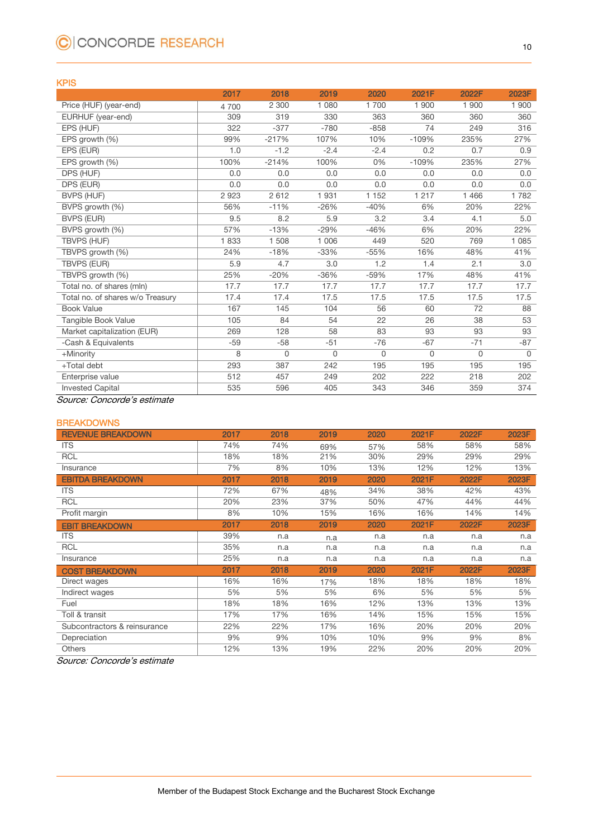# C CONCORDE RESEARCH

# KPIS

|                                  | 2017  | 2018     | 2019    | 2020     | 2021F       | 2022F       | 2023F       |
|----------------------------------|-------|----------|---------|----------|-------------|-------------|-------------|
| Price (HUF) (year-end)           | 4700  | 2 3 0 0  | 1 0 8 0 | 1700     | 1 900       | 1 900       | 1 900       |
| EURHUF (year-end)                | 309   | 319      | 330     | 363      | 360         | 360         | 360         |
| EPS (HUF)                        | 322   | $-377$   | $-780$  | $-858$   | 74          | 249         | 316         |
| EPS growth (%)                   | 99%   | $-217%$  | 107%    | 10%      | $-109%$     | 235%        | 27%         |
| EPS (EUR)                        | 1.0   | $-1.2$   | $-2.4$  | $-2.4$   | 0.2         | 0.7         | 0.9         |
| EPS growth (%)                   | 100%  | $-214%$  | 100%    | 0%       | $-109%$     | 235%        | 27%         |
| DPS (HUF)                        | 0.0   | 0.0      | 0.0     | 0.0      | 0.0         | 0.0         | 0.0         |
| DPS (EUR)                        | 0.0   | 0.0      | 0.0     | 0.0      | 0.0         | 0.0         | 0.0         |
| <b>BVPS (HUF)</b>                | 2923  | 2 6 1 2  | 1931    | 1 1 5 2  | 1 2 1 7     | 1466        | 1782        |
| BVPS growth (%)                  | 56%   | $-11%$   | $-26%$  | $-40%$   | 6%          | 20%         | 22%         |
| <b>BVPS (EUR)</b>                | 9.5   | 8.2      | 5.9     | 3.2      | 3.4         | 4.1         | 5.0         |
| BVPS growth (%)                  | 57%   | $-13%$   | $-29%$  | $-46%$   | 6%          | 20%         | 22%         |
| <b>TBVPS (HUF)</b>               | 1833  | 1 508    | 1 0 0 6 | 449      | 520         | 769         | 1 0 8 5     |
| TBVPS growth (%)                 | 24%   | $-18%$   | $-33%$  | $-55%$   | 16%         | 48%         | 41%         |
| <b>TBVPS (EUR)</b>               | 5.9   | 4.7      | 3.0     | 1.2      | 1.4         | 2.1         | 3.0         |
| TBVPS growth (%)                 | 25%   | $-20%$   | $-36%$  | $-59%$   | 17%         | 48%         | 41%         |
| Total no. of shares (mln)        | 17.7  | 17.7     | 17.7    | 17.7     | 17.7        | 17.7        | 17.7        |
| Total no. of shares w/o Treasury | 17.4  | 17.4     | 17.5    | 17.5     | 17.5        | 17.5        | 17.5        |
| <b>Book Value</b>                | 167   | 145      | 104     | 56       | 60          | 72          | 88          |
| Tangible Book Value              | 105   | 84       | 54      | 22       | 26          | 38          | 53          |
| Market capitalization (EUR)      | 269   | 128      | 58      | 83       | 93          | 93          | 93          |
| -Cash & Equivalents              | $-59$ | $-58$    | $-51$   | $-76$    | $-67$       | $-71$       | -87         |
| +Minority                        | 8     | $\Omega$ | 0       | $\Omega$ | $\mathbf 0$ | $\mathbf 0$ | $\mathbf 0$ |
| +Total debt                      | 293   | 387      | 242     | 195      | 195         | 195         | 195         |
| Enterprise value                 | 512   | 457      | 249     | 202      | 222         | 218         | 202         |
| <b>Invested Capital</b>          | 535   | 596      | 405     | 343      | 346         | 359         | 374         |

Source: Concorde's estimate

## **BREAKDOWNS**

| <b>REVENUE BREAKDOWN</b>     | 2017 | 2018 | 2019 | 2020 | 2021F | 2022F | 2023F |
|------------------------------|------|------|------|------|-------|-------|-------|
| <b>ITS</b>                   | 74%  | 74%  | 69%  | 57%  | 58%   | 58%   | 58%   |
| <b>RCL</b>                   | 18%  | 18%  | 21%  | 30%  | 29%   | 29%   | 29%   |
| Insurance                    | 7%   | 8%   | 10%  | 13%  | 12%   | 12%   | 13%   |
| <b>EBITDA BREAKDOWN</b>      | 2017 | 2018 | 2019 | 2020 | 2021F | 2022F | 2023F |
| <b>ITS</b>                   | 72%  | 67%  | 48%  | 34%  | 38%   | 42%   | 43%   |
| <b>RCL</b>                   | 20%  | 23%  | 37%  | 50%  | 47%   | 44%   | 44%   |
| Profit margin                | 8%   | 10%  | 15%  | 16%  | 16%   | 14%   | 14%   |
| <b>EBIT BREAKDOWN</b>        | 2017 | 2018 | 2019 | 2020 | 2021F | 2022F | 2023F |
| <b>ITS</b>                   | 39%  | n.a  | n.a  | n.a  | n.a   | n.a   | n.a   |
| <b>RCL</b>                   | 35%  | n.a  | n.a  | n.a  | n.a   | n.a   | n.a   |
| Insurance                    | 25%  | n.a  | n.a  | n.a  | n.a   | n.a   | n.a   |
| <b>COST BREAKDOWN</b>        | 2017 | 2018 | 2019 | 2020 | 2021F | 2022F | 2023F |
| Direct wages                 | 16%  | 16%  | 17%  | 18%  | 18%   | 18%   | 18%   |
| Indirect wages               | 5%   | 5%   | 5%   | 6%   | 5%    | 5%    | 5%    |
| Fuel                         | 18%  | 18%  | 16%  | 12%  | 13%   | 13%   | 13%   |
| Toll & transit               | 17%  | 17%  | 16%  | 14%  | 15%   | 15%   | 15%   |
| Subcontractors & reinsurance | 22%  | 22%  | 17%  | 16%  | 20%   | 20%   | 20%   |
| Depreciation                 | 9%   | 9%   | 10%  | 10%  | 9%    | 9%    | 8%    |
| <b>Others</b>                | 12%  | 13%  | 19%  | 22%  | 20%   | 20%   | 20%   |

Source: Concorde's estimate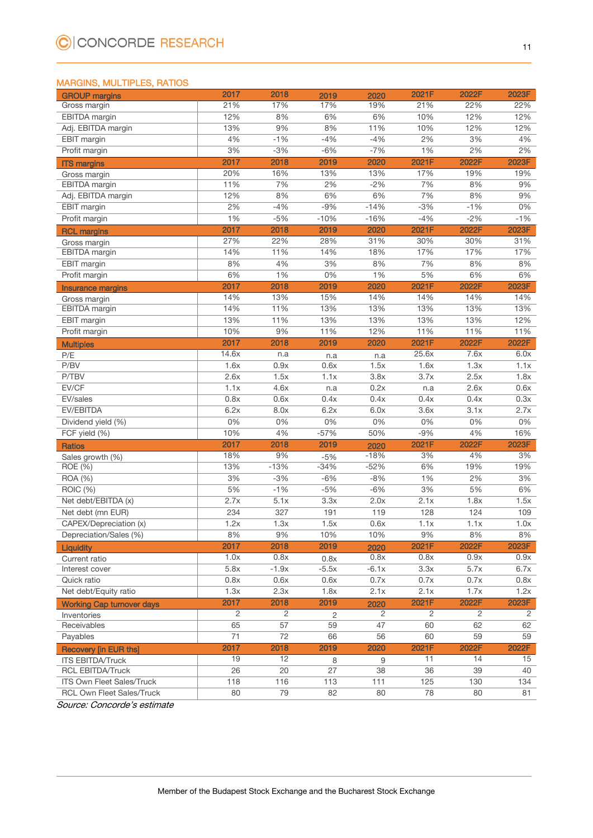# MARGINS, MULTIPLES, RATIOS

| <b>GROUP margins</b>                               | 2017     | 2018                               | 2019           | 2020       | 2021F    | 2022F    | 2023F          |
|----------------------------------------------------|----------|------------------------------------|----------------|------------|----------|----------|----------------|
| Gross margin                                       | 21%      | 17%                                | 17%            | 19%        | 21%      | 22%      | 22%            |
| EBITDA margin                                      | 12%      | 8%                                 | 6%             | 6%         | 10%      | 12%      | 12%            |
| Adj. EBITDA margin                                 | 13%      | 9%                                 | 8%             | 11%        | 10%      | 12%      | 12%            |
| <b>EBIT</b> margin                                 | 4%       | $-1%$                              | $-4%$          | $-4%$      | 2%       | 3%       | 4%             |
| Profit margin                                      | 3%       | $-3%$                              | $-6%$          | $-7%$      | 1%       | 2%       | 2%             |
| <b>ITS margins</b>                                 | 2017     | 2018                               | 2019           | 2020       | 2021F    | 2022F    | 2023F          |
| Gross margin                                       | 20%      | 16%                                | 13%            | 13%        | 17%      | 19%      | 19%            |
| EBITDA margin                                      | 11%      | 7%                                 | 2%             | $-2%$      | 7%       | 8%       | 9%             |
| Adj. EBITDA margin                                 | 12%      | 8%                                 | 6%             | 6%         | 7%       | 8%       | 9%             |
| EBIT margin                                        | 2%       | $-4%$                              | $-9%$          | $-14%$     | $-3%$    | $-1%$    | 0%             |
| Profit margin                                      | 1%       | $-5%$                              | $-10%$         | $-16%$     | $-4%$    | $-2%$    | $-1%$          |
| <b>RCL margins</b>                                 | 2017     | 2018                               | 2019           | 2020       | 2021F    | 2022F    | 2023F          |
| Gross margin                                       | 27%      | 22%                                | 28%            | 31%        | 30%      | 30%      | 31%            |
| EBITDA margin                                      | 14%      | 11%                                | 14%            | 18%        | 17%      | 17%      | 17%            |
| EBIT margin                                        | 8%       | 4%                                 | 3%             | 8%         | 7%       | 8%       | 8%             |
| Profit margin                                      | 6%       | 1%                                 | 0%             | $1\%$      | 5%       | 6%       | 6%             |
| <b>Insurance margins</b>                           | 2017     | 2018                               | 2019           | 2020       | 2021F    | 2022F    | 2023F          |
| Gross margin                                       | 14%      | 13%                                | 15%            | 14%        | 14%      | 14%      | 14%            |
| EBITDA margin                                      | 14%      | 11%                                | 13%            | 13%        | 13%      | 13%      | 13%            |
| EBIT margin                                        | 13%      | 11%                                | 13%            | 13%        | 13%      | 13%      | 12%            |
| Profit margin                                      | 10%      | 9%                                 | 11%            | 12%        | 11%      | 11%      | 11%            |
| <b>Multiples</b>                                   | 2017     | 2018                               | 2019           | 2020       | 2021F    | 2022F    | 2022F          |
| P/E                                                | 14.6x    | n.a                                | n.a            | n.a        | 25.6x    | 7.6x     | 6.0x           |
| P/BV                                               | 1.6x     | 0.9x                               | 0.6x           | 1.5x       | 1.6x     | 1.3x     | 1.1x           |
| P/TBV                                              | 2.6x     | 1.5x                               | 1.1x           | 3.8x       | 3.7x     | 2.5x     | 1.8x           |
| EV/CF                                              | 1.1x     | 4.6x                               | n.a            | 0.2x       | n.a      | 2.6x     | 0.6x           |
| EV/sales                                           | 0.8x     | 0.6x                               | 0.4x           | 0.4x       | 0.4x     | 0.4x     | 0.3x           |
| EV/EBITDA                                          | 6.2x     | 8.0x                               | 6.2x           | 6.0x       | 3.6x     | 3.1x     | 2.7x           |
| Dividend yield (%)                                 | 0%       | 0%                                 | 0%             | 0%         | 0%       | 0%       | 0%             |
| FCF yield (%)                                      | 10%      | 4%                                 | $-57%$         | 50%        | $-9%$    | 4%       | 16%            |
| <b>Ratios</b>                                      | 2017     | 2018                               | 2019           | 2020       | 2021F    | 2022F    | 2023F          |
| Sales growth (%)                                   | 18%      | 9%                                 | $-5%$          | $-18%$     | 3%       | 4%       | 3%             |
| ROE (%)                                            | 13%      | $-13%$                             | $-34%$         | $-52%$     | 6%       | 19%      | 19%            |
| ROA (%)                                            | 3%       | $-3%$                              | $-6%$          | $-8%$      | 1%       | 2%       | 3%             |
| ROIC (%)                                           | 5%       | $-1%$                              | $-5%$          | $-6%$      | 3%       | 5%       | 6%             |
| Net debt/EBITDA (x)                                | 2.7x     | 5.1x                               | 3.3x           | 2.0x       | 2.1x     | 1.8x     | 1.5x           |
| Net debt (mn EUR)                                  | 234      | 327                                | 191            | 119        | 128      | 124      | 109            |
| CAPEX/Depreciation (x)                             | 1.2x     | 1.3x                               | 1.5x           | 0.6x       | 1.1x     | 1.1x     | 1.0x           |
| Depreciation/Sales (%)                             | 8%       | 9%                                 | 10%            | 10%        | 9%       | 8%       | 8%             |
| Liquidity                                          | 2017     | 2018                               | 2019           | 2020       | 2021F    | 2022F    | 2023F          |
| Current ratio                                      | 1.0x     | 0.8x                               | 0.8x           | 0.8x       | 0.8x     | 0.9x     | 0.9x           |
| Interest cover                                     | 5.8x     | $-1.9x$                            | $-5.5x$        | $-6.1x$    | 3.3x     | 5.7x     | 6.7x           |
| Quick ratio                                        | 0.8x     | 0.6x                               | 0.6x           | 0.7x       | 0.7x     | 0.7x     | 0.8x           |
| Net debt/Equity ratio                              | 1.3x     | 2.3x                               | 1.8x           | 2.1x       | 2.1x     | 1.7x     | 1.2x           |
| <b>Working Cap turnover days</b>                   | 2017     | 2018                               | 2019           | 2020       | 2021F    | 2022F    | 2023F          |
| Inventories                                        | 2        | $\overline{2}$                     | $\overline{c}$ | 2          | 2        | 2        | $\overline{2}$ |
| Receivables                                        | 65<br>71 | $\overline{57}$<br>$\overline{72}$ | 59<br>66       | 47         | 60<br>60 | 62<br>59 | 62<br>59       |
| Payables                                           | 2017     | 2018                               | 2019           | 56<br>2020 | 2021F    | 2022F    | 2022F          |
| <b>Recovery [in EUR ths]</b>                       | 19       | 12                                 |                |            | 11       | 14       | 15             |
| <b>ITS EBITDA/Truck</b><br><b>RCL EBITDA/Truck</b> | 26       | 20                                 | 8<br>27        | 9<br>38    | 36       | 39       | 40             |
| ITS Own Fleet Sales/Truck                          | 118      | 116                                | 113            | 111        | 125      | 130      | 134            |
| RCL Own Fleet Sales/Truck                          | 80       | 79                                 | 82             | 80         | 78       | 80       | 81             |
|                                                    |          |                                    |                |            |          |          |                |

Source: Concorde's estimate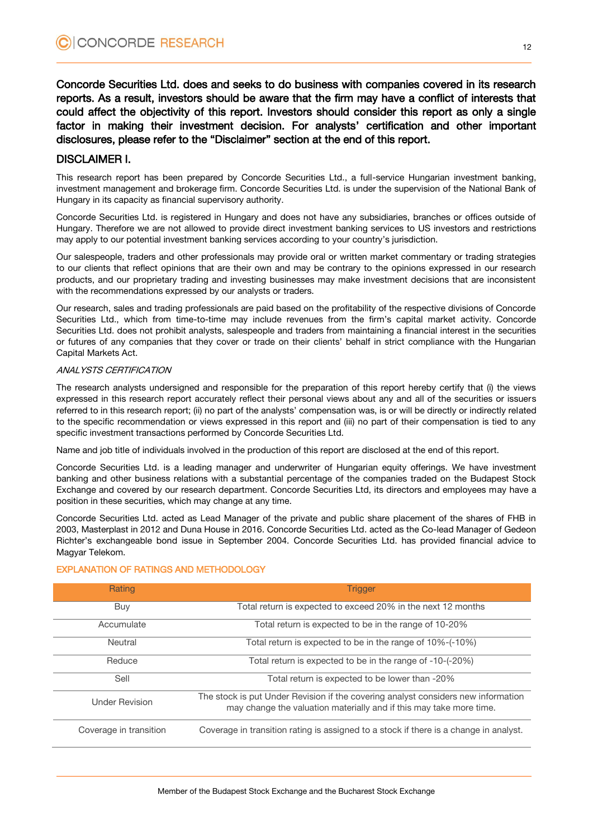Concorde Securities Ltd. does and seeks to do business with companies covered in its research reports. As a result, investors should be aware that the firm may have a conflict of interests that could affect the objectivity of this report. Investors should consider this report as only a single factor in making their investment decision. For analysts' certification and other important disclosures, please refer to the "Disclaimer" section at the end of this report.

# DISCLAIMER I.

This research report has been prepared by Concorde Securities Ltd., a full-service Hungarian investment banking, investment management and brokerage firm. Concorde Securities Ltd. is under the supervision of the National Bank of Hungary in its capacity as financial supervisory authority.

Concorde Securities Ltd. is registered in Hungary and does not have any subsidiaries, branches or offices outside of Hungary. Therefore we are not allowed to provide direct investment banking services to US investors and restrictions may apply to our potential investment banking services according to your country's jurisdiction.

Our salespeople, traders and other professionals may provide oral or written market commentary or trading strategies to our clients that reflect opinions that are their own and may be contrary to the opinions expressed in our research products, and our proprietary trading and investing businesses may make investment decisions that are inconsistent with the recommendations expressed by our analysts or traders.

Our research, sales and trading professionals are paid based on the profitability of the respective divisions of Concorde Securities Ltd., which from time-to-time may include revenues from the firm's capital market activity. Concorde Securities Ltd. does not prohibit analysts, salespeople and traders from maintaining a financial interest in the securities or futures of any companies that they cover or trade on their clients' behalf in strict compliance with the Hungarian Capital Markets Act.

# ANALYSTS CERTIFICATION

The research analysts undersigned and responsible for the preparation of this report hereby certify that (i) the views expressed in this research report accurately reflect their personal views about any and all of the securities or issuers referred to in this research report; (ii) no part of the analysts' compensation was, is or will be directly or indirectly related to the specific recommendation or views expressed in this report and (iii) no part of their compensation is tied to any specific investment transactions performed by Concorde Securities Ltd.

Name and job title of individuals involved in the production of this report are disclosed at the end of this report.

Concorde Securities Ltd. is a leading manager and underwriter of Hungarian equity offerings. We have investment banking and other business relations with a substantial percentage of the companies traded on the Budapest Stock Exchange and covered by our research department. Concorde Securities Ltd, its directors and employees may have a position in these securities, which may change at any time.

Concorde Securities Ltd. acted as Lead Manager of the private and public share placement of the shares of FHB in 2003, Masterplast in 2012 and Duna House in 2016. Concorde Securities Ltd. acted as the Co-lead Manager of Gedeon Richter's exchangeable bond issue in September 2004. Concorde Securities Ltd. has provided financial advice to Magyar Telekom.

| Rating                 | <b>Trigger</b>                                                                                                                                           |
|------------------------|----------------------------------------------------------------------------------------------------------------------------------------------------------|
| Buy                    | Total return is expected to exceed 20% in the next 12 months                                                                                             |
| Accumulate             | Total return is expected to be in the range of 10-20%                                                                                                    |
| Neutral                | Total return is expected to be in the range of 10%-(-10%)                                                                                                |
| Reduce                 | Total return is expected to be in the range of -10-(-20%)                                                                                                |
| Sell                   | Total return is expected to be lower than -20%                                                                                                           |
| <b>Under Revision</b>  | The stock is put Under Revision if the covering analyst considers new information<br>may change the valuation materially and if this may take more time. |
| Coverage in transition | Coverage in transition rating is assigned to a stock if there is a change in analyst.                                                                    |

# EXPLANATION OF RATINGS AND METHODOLOGY